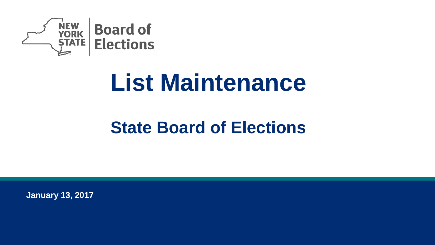

# **List Maintenance**

### **State Board of Elections**

**January 13, 2017**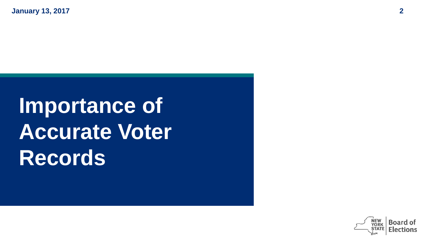# **Importance of Accurate Voter Records**

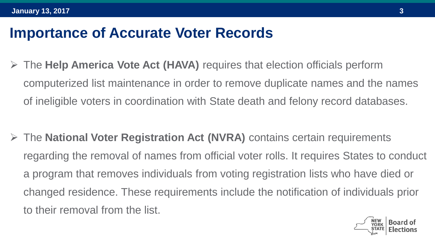#### **Importance of Accurate Voter Records**

 The **Help America Vote Act (HAVA)** requires that election officials perform computerized list maintenance in order to remove duplicate names and the names of ineligible voters in coordination with State death and felony record databases.

 The **National Voter Registration Act (NVRA)** contains certain requirements regarding the removal of names from official voter rolls. It requires States to conduct a program that removes individuals from voting registration lists who have died or changed residence. These requirements include the notification of individuals prior to their removal from the list.

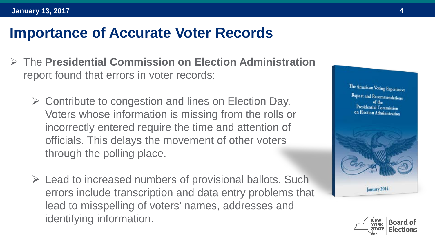#### **Importance of Accurate Voter Records**

- The **Presidential Commission on Election Administration** report found that errors in voter records:
	- $\triangleright$  Contribute to congestion and lines on Election Day. Voters whose information is missing from the rolls or incorrectly entered require the time and attention of officials. This delays the movement of other voters through the polling place.
	- $\triangleright$  Lead to increased numbers of provisional ballots. Such errors include transcription and data entry problems that lead to misspelling of voters' names, addresses and identifying information.



**Lanuary 2014** 

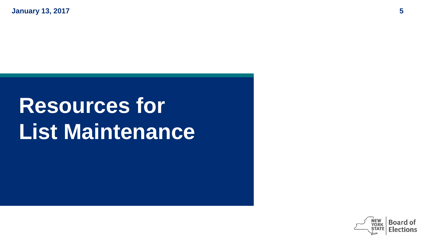### **Resources for List Maintenance**

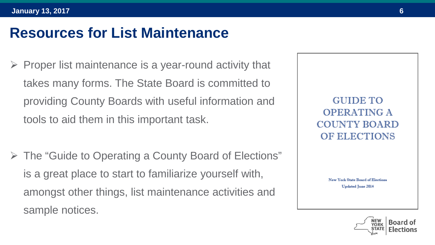#### **Resources for List Maintenance**

- Proper list maintenance is a year-round activity that takes many forms. The State Board is committed to providing County Boards with useful information and tools to aid them in this important task.
- The "Guide to Operating a County Board of Elections" is a great place to start to familiarize yourself with, amongst other things, list maintenance activities and sample notices.

**GUIDE TO OPERATING A COUNTY BOARD OF ELECTIONS** 

> New York State Board of Elections **Updated June 2014**

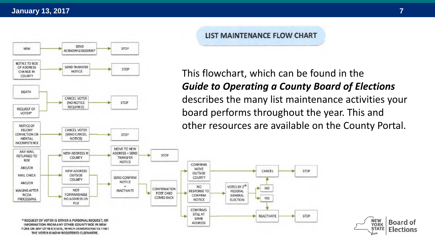

YORK OR ANY OTHER STATE, WHICH DEMONSTRATES THAT THE VOTER IS NOW REGISTERED ELSEWHERE.

#### LIST MAINTENANCE FLOW CHART

CANCEL

NO.

YES

REACTIVATE

VOTES BY 2<sup>ND</sup>

FEDERAL

**GENERAL** 

**ELECTION** 

MOVE

NO

SAME

#### This flowchart, which can be found in the *Guide to Operating a County Board of Elections*  describes the many list maintenance activities your board performs throughout the year. This and other resources are available on the County Portal.

STOP

STOP

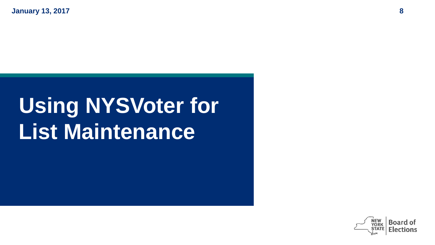### **Using NYSVoter for List Maintenance**

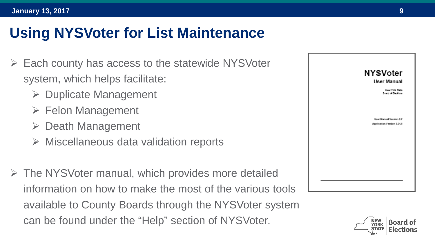- Each county has access to the statewide NYSVoter system, which helps facilitate:
	- $\triangleright$  Duplicate Management
	- $\triangleright$  Felon Management
	- $\triangleright$  Death Management
	- $\triangleright$  Miscellaneous data validation reports
- $\triangleright$  The NYSVoter manual, which provides more detailed information on how to make the most of the various tools available to County Boards through the NYSVoter system can be found under the "Help" section of NYSVoter.



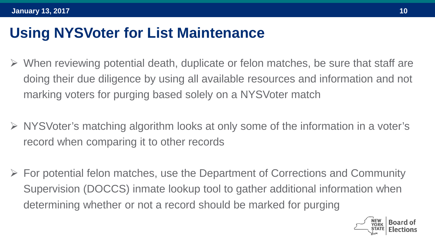- $\triangleright$  When reviewing potential death, duplicate or felon matches, be sure that staff are doing their due diligence by using all available resources and information and not marking voters for purging based solely on a NYSVoter match
- $\triangleright$  NYSVoter's matching algorithm looks at only some of the information in a voter's record when comparing it to other records
- $\triangleright$  For potential felon matches, use the Department of Corrections and Community Supervision (DOCCS) inmate lookup tool to gather additional information when determining whether or not a record should be marked for purging

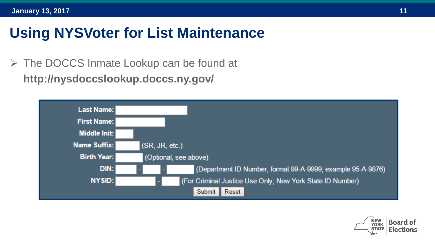The DOCCS Inmate Lookup can be found at **http://nysdoccslookup.doccs.ny.gov/**



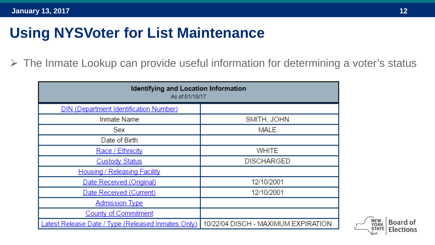$\triangleright$  The Inmate Lookup can provide useful information for determining a voter's status

| <b>Identifying and Location Information</b><br>As of 01/10/17 |                                     |
|---------------------------------------------------------------|-------------------------------------|
| <b>DIN (Department Identification Number)</b>                 |                                     |
| Inmate Name                                                   | SMITH, JOHN                         |
| Sex                                                           | <b>MALE</b>                         |
| Date of Birth                                                 |                                     |
| Race / Ethnicity                                              | <b>WHITE</b>                        |
| <b>Custody Status</b>                                         | <b>DISCHARGED</b>                   |
| <b>Housing / Releasing Facility</b>                           |                                     |
| Date Received (Original)                                      | 12/10/2001                          |
| Date Received (Current)                                       | 12/10/2001                          |
| <b>Admission Type</b>                                         |                                     |
| <b>County of Commitment</b>                                   |                                     |
| Latest Release Date / Type (Released Inmates Only)            | 10/22/04 DISCH - MAXIMUM EXPIRATION |

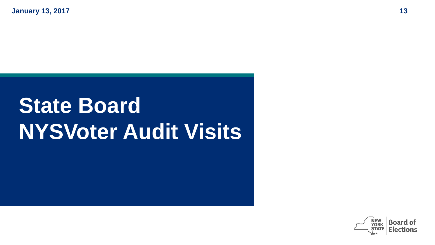### **State Board NYSVoter Audit Visits**

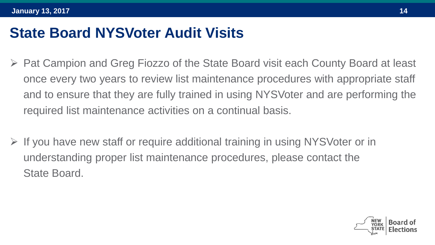#### **State Board NYSVoter Audit Visits**

- ▶ Pat Campion and Greg Fiozzo of the State Board visit each County Board at least once every two years to review list maintenance procedures with appropriate staff and to ensure that they are fully trained in using NYSVoter and are performing the required list maintenance activities on a continual basis.
- $\triangleright$  If you have new staff or require additional training in using NYSVoter or in understanding proper list maintenance procedures, please contact the State Board.